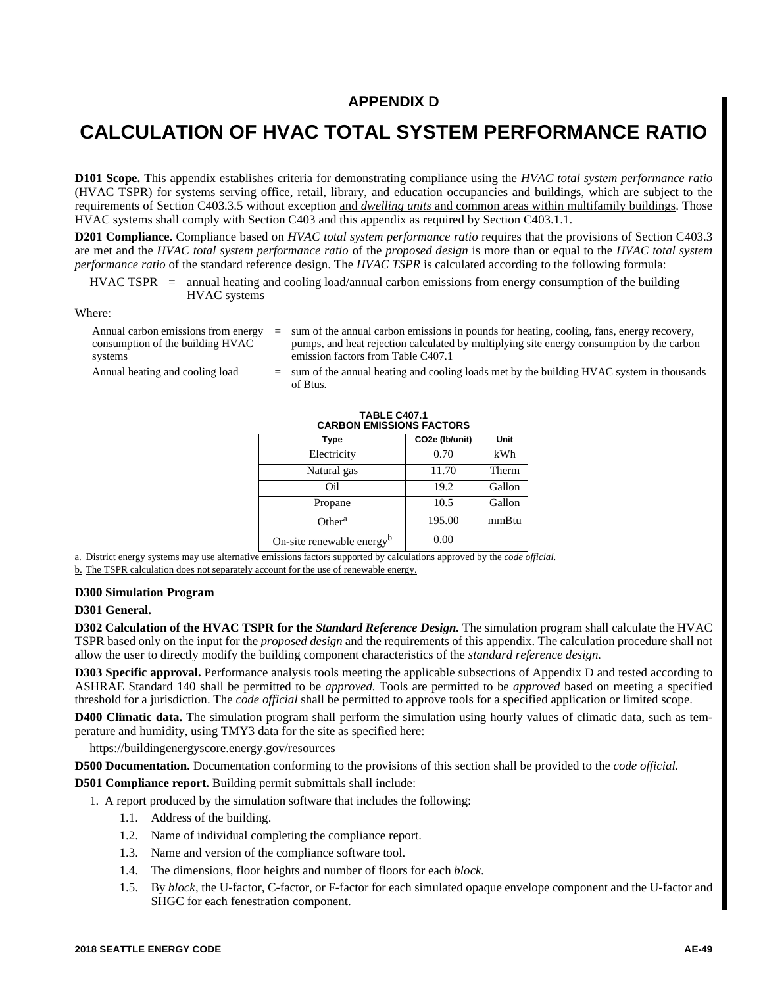## **APPENDIX D**

## **CALCULATION OF HVAC TOTAL SYSTEM PERFORMANCE RATIO**

**D101 Scope.** This appendix establishes criteria for demonstrating compliance using the *HVAC total system performance ratio* (HVAC TSPR) for systems serving office, retail, library, and education occupancies and buildings, which are subject to the requirements of Section C403.3.5 without exception and *dwelling units* and common areas within multifamily buildings. Those HVAC systems shall comply with Section C403 and this appendix as required by Section C403.1.1.

**D201 Compliance.** Compliance based on *HVAC total system performance ratio* requires that the provisions of Section C403.3 are met and the *HVAC total system performance ratio* of the *proposed design* is more than or equal to the *HVAC total system performance ratio* of the standard reference design. The *HVAC TSPR* is calculated according to the following formula:

## HVAC TSPR = annual heating and cooling load/annual carbon emissions from energy consumption of the building HVAC systems

Where:

| Annual carbon emissions from energy | $=$ sum of the annual carbon emissions in pounds for heating, cooling, fans, energy recovery, |
|-------------------------------------|-----------------------------------------------------------------------------------------------|
| consumption of the building HVAC    | pumps, and heat rejection calculated by multiplying site energy consumption by the carbon     |
| systems                             | emission factors from Table C407.1                                                            |
| heal peating and cooling load       | $=$ sum of the annual heating and cooling loads met by the building HVAC system in thousands  |

Annual heating and cooling load  $=$  sum of the annual heating and cooling loads met by the building HVAC system in thousa of Btus.

| <u>UANDUN LIVIIUUIUI AUTUNU</u>        |                |             |  |  |
|----------------------------------------|----------------|-------------|--|--|
| <b>Type</b>                            | CO2e (Ib/unit) | <b>Unit</b> |  |  |
| Electricity                            | 0.70           | kWh         |  |  |
| Natural gas                            | 11.70          | Therm       |  |  |
| Oil                                    | 19.2           | Gallon      |  |  |
| Propane                                | 10.5           | Gallon      |  |  |
| Other <sup>a</sup>                     | 195.00         | mmBtu       |  |  |
| On-site renewable energy $\frac{b}{2}$ | 0.00           |             |  |  |

**TABLE C407.1 CARBON EMISSIONS FACTORS**

a. District energy systems may use alternative emissions factors supported by calculations approved by the *code official.*

b. The TSPR calculation does not separately account for the use of renewable energy.

#### **D300 Simulation Program**

## **D301 General.**

**D302 Calculation of the HVAC TSPR for the** *Standard Reference Design.* The simulation program shall calculate the HVAC TSPR based only on the input for the *proposed design* and the requirements of this appendix. The calculation procedure shall not allow the user to directly modify the building component characteristics of the *standard reference design.*

**D303 Specific approval.** Performance analysis tools meeting the applicable subsections of Appendix D and tested according to ASHRAE Standard 140 shall be permitted to be *approved.* Tools are permitted to be *approved* based on meeting a specified threshold for a jurisdiction. The *code official* shall be permitted to approve tools for a specified application or limited scope.

**D400 Climatic data.** The simulation program shall perform the simulation using hourly values of climatic data, such as temperature and humidity, using TMY3 data for the site as specified here:

https://buildingenergyscore.energy.gov/resources

**D500 Documentation.** Documentation conforming to the provisions of this section shall be provided to the *code official.*

**D501 Compliance report.** Building permit submittals shall include:

1. A report produced by the simulation software that includes the following:

- 1.1. Address of the building.
- 1.2. Name of individual completing the compliance report.
- 1.3. Name and version of the compliance software tool.
- 1.4. The dimensions, floor heights and number of floors for each *block.*
- 1.5. By *block*, the U-factor, C-factor, or F-factor for each simulated opaque envelope component and the U-factor and SHGC for each fenestration component.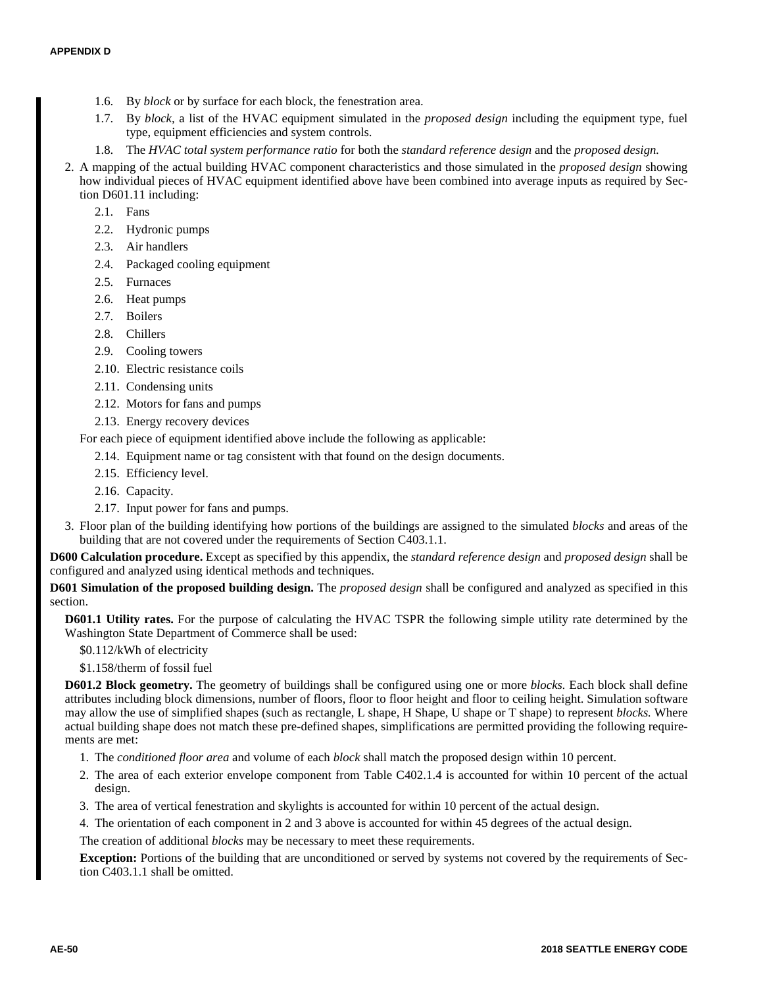- 1.6. By *block* or by surface for each block, the fenestration area.
- 1.7. By *block,* a list of the HVAC equipment simulated in the *proposed design* including the equipment type, fuel type, equipment efficiencies and system controls.
- 1.8. The *HVAC total system performance ratio* for both the *standard reference design* and the *proposed design.*
- 2. A mapping of the actual building HVAC component characteristics and those simulated in the *proposed design* showing how individual pieces of HVAC equipment identified above have been combined into average inputs as required by Section D601.11 including:
	- 2.1. Fans
	- 2.2. Hydronic pumps
	- 2.3. Air handlers
	- 2.4. Packaged cooling equipment
	- 2.5. Furnaces
	- 2.6. Heat pumps
	- 2.7. Boilers
	- 2.8. Chillers
	- 2.9. Cooling towers
	- 2.10. Electric resistance coils
	- 2.11. Condensing units
	- 2.12. Motors for fans and pumps
	- 2.13. Energy recovery devices

For each piece of equipment identified above include the following as applicable:

- 2.14. Equipment name or tag consistent with that found on the design documents.
- 2.15. Efficiency level.
- 2.16. Capacity.
- 2.17. Input power for fans and pumps.
- 3. Floor plan of the building identifying how portions of the buildings are assigned to the simulated *blocks* and areas of the building that are not covered under the requirements of Section C403.1.1.

**D600 Calculation procedure.** Except as specified by this appendix, the *standard reference design* and *proposed design* shall be configured and analyzed using identical methods and techniques.

**D601 Simulation of the proposed building design.** The *proposed design* shall be configured and analyzed as specified in this section.

**D601.1 Utility rates.** For the purpose of calculating the HVAC TSPR the following simple utility rate determined by the Washington State Department of Commerce shall be used:

\$0.112/kWh of electricity

\$1.158/therm of fossil fuel

**D601.2 Block geometry.** The geometry of buildings shall be configured using one or more *blocks.* Each block shall define attributes including block dimensions, number of floors, floor to floor height and floor to ceiling height. Simulation software may allow the use of simplified shapes (such as rectangle, L shape, H Shape, U shape or T shape) to represent *blocks.* Where actual building shape does not match these pre-defined shapes, simplifications are permitted providing the following requirements are met:

- 1. The *conditioned floor area* and volume of each *block* shall match the proposed design within 10 percent.
- 2. The area of each exterior envelope component from Table C402.1.4 is accounted for within 10 percent of the actual design.
- 3. The area of vertical fenestration and skylights is accounted for within 10 percent of the actual design.
- 4. The orientation of each component in 2 and 3 above is accounted for within 45 degrees of the actual design.

The creation of additional *blocks* may be necessary to meet these requirements.

**Exception:** Portions of the building that are unconditioned or served by systems not covered by the requirements of Section C403.1.1 shall be omitted.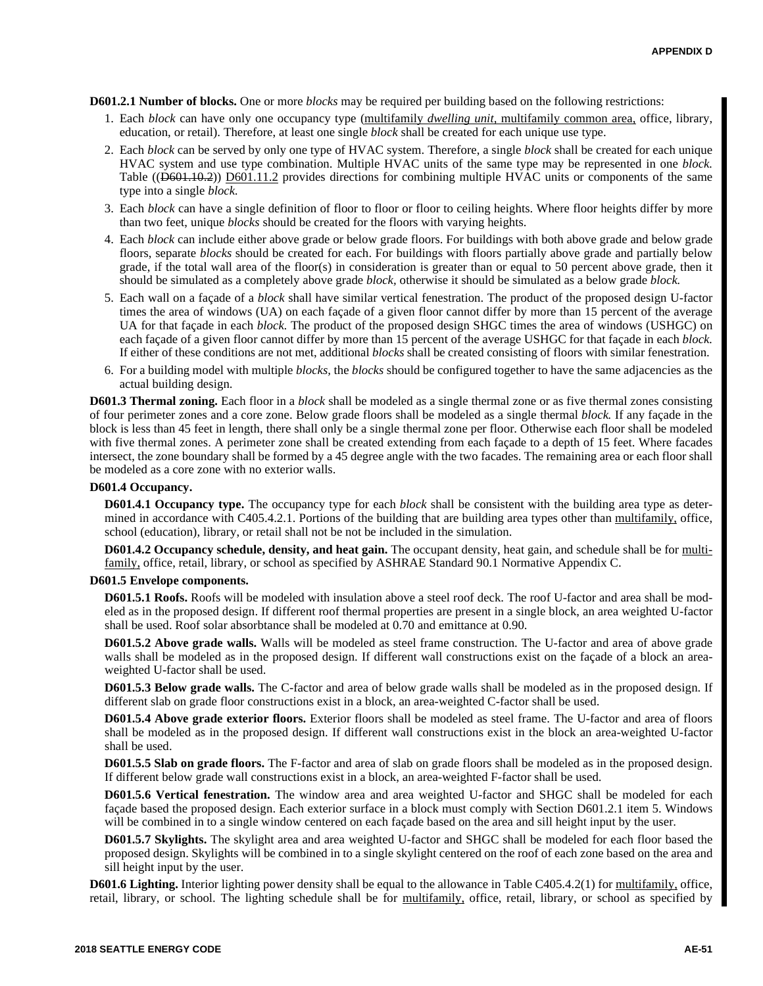**D601.2.1 Number of blocks.** One or more *blocks* may be required per building based on the following restrictions:

- 1. Each *block* can have only one occupancy type (multifamily *dwelling unit,* multifamily common area, office, library, education, or retail). Therefore, at least one single *block* shall be created for each unique use type.
- 2. Each *block* can be served by only one type of HVAC system. Therefore, a single *block* shall be created for each unique HVAC system and use type combination. Multiple HVAC units of the same type may be represented in one *block.* Table (( $\overline{D601.10.2}$ ))  $\overline{D601.11.2}$  provides directions for combining multiple HVAC units or components of the same type into a single *block.*
- 3. Each *block* can have a single definition of floor to floor or floor to ceiling heights. Where floor heights differ by more than two feet, unique *blocks* should be created for the floors with varying heights.
- 4. Each *block* can include either above grade or below grade floors. For buildings with both above grade and below grade floors, separate *blocks* should be created for each. For buildings with floors partially above grade and partially below grade, if the total wall area of the floor(s) in consideration is greater than or equal to 50 percent above grade, then it should be simulated as a completely above grade *block,* otherwise it should be simulated as a below grade *block.*
- 5. Each wall on a façade of a *block* shall have similar vertical fenestration. The product of the proposed design U-factor times the area of windows (UA) on each façade of a given floor cannot differ by more than 15 percent of the average UA for that façade in each *block.* The product of the proposed design SHGC times the area of windows (USHGC) on each façade of a given floor cannot differ by more than 15 percent of the average USHGC for that façade in each *block.* If either of these conditions are not met, additional *blocks* shall be created consisting of floors with similar fenestration.
- 6. For a building model with multiple *blocks,* the *blocks* should be configured together to have the same adjacencies as the actual building design.

**D601.3 Thermal zoning.** Each floor in a *block* shall be modeled as a single thermal zone or as five thermal zones consisting of four perimeter zones and a core zone. Below grade floors shall be modeled as a single thermal *block.* If any façade in the block is less than 45 feet in length, there shall only be a single thermal zone per floor. Otherwise each floor shall be modeled with five thermal zones. A perimeter zone shall be created extending from each façade to a depth of 15 feet. Where facades intersect, the zone boundary shall be formed by a 45 degree angle with the two facades. The remaining area or each floor shall be modeled as a core zone with no exterior walls.

## **D601.4 Occupancy.**

**D601.4.1 Occupancy type.** The occupancy type for each *block* shall be consistent with the building area type as determined in accordance with C405.4.2.1. Portions of the building that are building area types other than multifamily, office, school (education), library, or retail shall not be not be included in the simulation.

**D601.4.2 Occupancy schedule, density, and heat gain.** The occupant density, heat gain, and schedule shall be for multifamily, office, retail, library, or school as specified by ASHRAE Standard 90.1 Normative Appendix C.

### **D601.5 Envelope components.**

**D601.5.1 Roofs.** Roofs will be modeled with insulation above a steel roof deck. The roof U-factor and area shall be modeled as in the proposed design. If different roof thermal properties are present in a single block, an area weighted U-factor shall be used. Roof solar absorbtance shall be modeled at 0.70 and emittance at 0.90.

**D601.5.2 Above grade walls.** Walls will be modeled as steel frame construction. The U-factor and area of above grade walls shall be modeled as in the proposed design. If different wall constructions exist on the façade of a block an areaweighted U-factor shall be used.

**D601.5.3 Below grade walls.** The C-factor and area of below grade walls shall be modeled as in the proposed design. If different slab on grade floor constructions exist in a block, an area-weighted C-factor shall be used.

**D601.5.4 Above grade exterior floors.** Exterior floors shall be modeled as steel frame. The U-factor and area of floors shall be modeled as in the proposed design. If different wall constructions exist in the block an area-weighted U-factor shall be used.

**D601.5.5 Slab on grade floors.** The F-factor and area of slab on grade floors shall be modeled as in the proposed design. If different below grade wall constructions exist in a block, an area-weighted F-factor shall be used.

**D601.5.6 Vertical fenestration.** The window area and area weighted U-factor and SHGC shall be modeled for each façade based the proposed design. Each exterior surface in a block must comply with Section D601.2.1 item 5. Windows will be combined in to a single window centered on each façade based on the area and sill height input by the user.

**D601.5.7 Skylights.** The skylight area and area weighted U-factor and SHGC shall be modeled for each floor based the proposed design. Skylights will be combined in to a single skylight centered on the roof of each zone based on the area and sill height input by the user.

**D601.6 Lighting.** Interior lighting power density shall be equal to the allowance in Table C405.4.2(1) for multifamily, office, retail, library, or school. The lighting schedule shall be for multifamily, office, retail, library, or school as specified by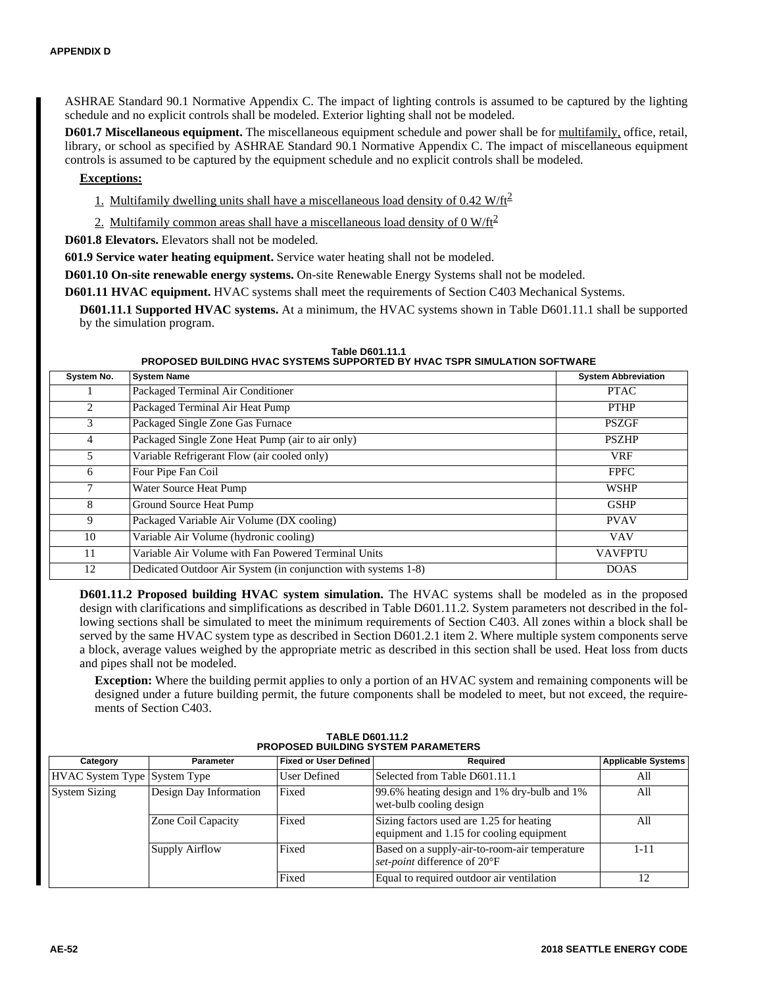ASHRAE Standard 90.1 Normative Appendix C. The impact of lighting controls is assumed to be captured by the lighting schedule and no explicit controls shall be modeled. Exterior lighting shall not be modeled.

**D601.7 Miscellaneous equipment.** The miscellaneous equipment schedule and power shall be for multifamily, office, retail, library, or school as specified by ASHRAE Standard 90.1 Normative Appendix C. The impact of miscellaneous equipment controls is assumed to be captured by the equipment schedule and no explicit controls shall be modeled.

## **Exceptions:**

1. Multifamily dwelling units shall have a miscellaneous load density of  $0.42 \text{ W/ft}^2$ 

2. Multifamily common areas shall have a miscellaneous load density of  $0 \text{ W/ft}^2$ 

**D601.8 Elevators.** Elevators shall not be modeled.

**601.9 Service water heating equipment.** Service water heating shall not be modeled.

**D601.10 On-site renewable energy systems.** On-site Renewable Energy Systems shall not be modeled.

**D601.11 HVAC equipment.** HVAC systems shall meet the requirements of Section C403 Mechanical Systems.

**D601.11.1 Supported HVAC systems.** At a minimum, the HVAC systems shown in Table D601.11.1 shall be supported by the simulation program.

#### **Table D601.11.1 PROPOSED BUILDING HVAC SYSTEMS SUPPORTED BY HVAC TSPR SIMULATION SOFTWARE**

| System No. | <b>System Name</b>                                             | <b>System Abbreviation</b> |
|------------|----------------------------------------------------------------|----------------------------|
|            | Packaged Terminal Air Conditioner                              | <b>PTAC</b>                |
| 2          | Packaged Terminal Air Heat Pump                                | <b>PTHP</b>                |
| 3          | Packaged Single Zone Gas Furnace                               | <b>PSZGF</b>               |
| 4          | Packaged Single Zone Heat Pump (air to air only)               | <b>PSZHP</b>               |
| 5          | Variable Refrigerant Flow (air cooled only)                    | <b>VRF</b>                 |
| 6          | Four Pipe Fan Coil                                             | <b>FPFC</b>                |
| 7          | Water Source Heat Pump                                         | <b>WSHP</b>                |
| 8          | Ground Source Heat Pump                                        | <b>GSHP</b>                |
| 9          | Packaged Variable Air Volume (DX cooling)                      | <b>PVAV</b>                |
| 10         | Variable Air Volume (hydronic cooling)                         | <b>VAV</b>                 |
| 11         | Variable Air Volume with Fan Powered Terminal Units            | <b>VAVFPTU</b>             |
| 12         | Dedicated Outdoor Air System (in conjunction with systems 1-8) | <b>DOAS</b>                |

**D601.11.2 Proposed building HVAC system simulation.** The HVAC systems shall be modeled as in the proposed design with clarifications and simplifications as described in Table D601.11.2. System parameters not described in the following sections shall be simulated to meet the minimum requirements of Section C403. All zones within a block shall be served by the same HVAC system type as described in Section D601.2.1 item 2. Where multiple system components serve a block, average values weighed by the appropriate metric as described in this section shall be used. Heat loss from ducts and pipes shall not be modeled.

**Exception:** Where the building permit applies to only a portion of an HVAC system and remaining components will be designed under a future building permit, the future components shall be modeled to meet, but not exceed, the requirements of Section C403.

| Category                                       | <b>Parameter</b>      | <b>Fixed or User Defined</b> | Required                                                                             | <b>Applicable Systems</b> |  |
|------------------------------------------------|-----------------------|------------------------------|--------------------------------------------------------------------------------------|---------------------------|--|
| HVAC System Type System Type                   |                       | <b>User Defined</b>          | Selected from Table D601.11.1                                                        | All                       |  |
| Design Day Information<br><b>System Sizing</b> |                       | Fixed                        | 99.6% heating design and 1% dry-bulb and 1%<br>wet-bulb cooling design               |                           |  |
|                                                | Zone Coil Capacity    | Fixed                        | Sizing factors used are 1.25 for heating<br>equipment and 1.15 for cooling equipment | All                       |  |
|                                                | <b>Supply Airflow</b> | Fixed                        | Based on a supply-air-to-room-air temperature<br>set-point difference of 20°F        | 1-11                      |  |
|                                                |                       | Fixed                        | Equal to required outdoor air ventilation                                            | 12                        |  |

**TABLE D601.11.2 PROPOSED BUILDING SYSTEM PARAMETERS**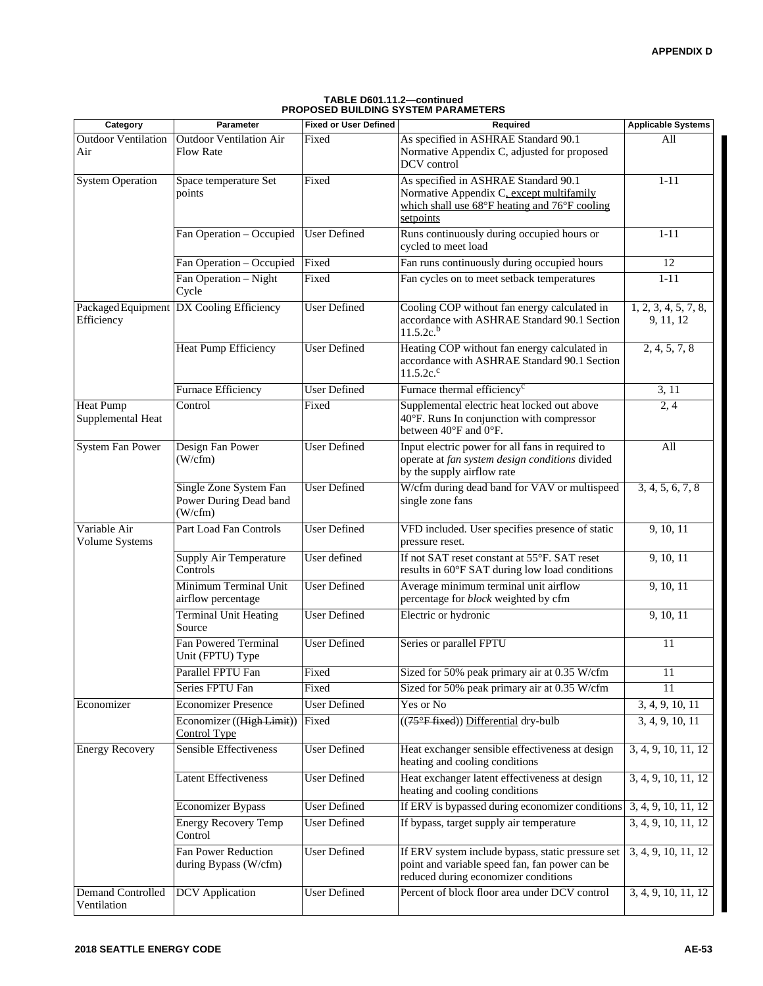| TABLE D601.11.2-continued                  |
|--------------------------------------------|
| <b>PROPOSED BUILDING SYSTEM PARAMETERS</b> |

| Category                                | Parameter                                                   | <b>Fixed or User Defined</b> | Required                                                                                                                                       | <b>Applicable Systems</b>         |
|-----------------------------------------|-------------------------------------------------------------|------------------------------|------------------------------------------------------------------------------------------------------------------------------------------------|-----------------------------------|
| <b>Outdoor Ventilation</b><br>Air       | <b>Outdoor Ventilation Air</b><br><b>Flow Rate</b>          | Fixed                        | As specified in ASHRAE Standard 90.1<br>Normative Appendix C, adjusted for proposed<br>DCV control                                             | All                               |
| <b>System Operation</b>                 | Space temperature Set<br>points                             | Fixed                        | As specified in ASHRAE Standard 90.1<br>Normative Appendix C, except multifamily<br>which shall use 68°F heating and 76°F cooling<br>setpoints | $1 - 11$                          |
|                                         | Fan Operation - Occupied                                    | <b>User Defined</b>          | Runs continuously during occupied hours or<br>cycled to meet load                                                                              | $1 - 11$                          |
|                                         | Fan Operation - Occupied                                    | Fixed                        | Fan runs continuously during occupied hours                                                                                                    | 12                                |
|                                         | Fan Operation - Night<br>Cycle                              | Fixed                        | Fan cycles on to meet setback temperatures                                                                                                     | $1 - 11$                          |
| Packaged Equipment<br>Efficiency        | DX Cooling Efficiency                                       | <b>User Defined</b>          | Cooling COP without fan energy calculated in<br>accordance with ASHRAE Standard 90.1 Section<br>$11.5.2c^{b}$                                  | 1, 2, 3, 4, 5, 7, 8,<br>9, 11, 12 |
|                                         | Heat Pump Efficiency                                        | <b>User Defined</b>          | Heating COP without fan energy calculated in<br>accordance with ASHRAE Standard 90.1 Section<br>$11.5.2c$ .                                    | 2, 4, 5, 7, 8                     |
|                                         | Furnace Efficiency                                          | <b>User Defined</b>          | Furnace thermal efficiency <sup>c</sup>                                                                                                        | 3, 11                             |
| <b>Heat Pump</b><br>Supplemental Heat   | Control                                                     | Fixed                        | Supplemental electric heat locked out above<br>40°F. Runs In conjunction with compressor<br>between 40°F and 0°F.                              | $\overline{2,4}$                  |
| <b>System Fan Power</b>                 | Design Fan Power<br>$(W/\text{cfm})$                        | <b>User Defined</b>          | Input electric power for all fans in required to<br>operate at fan system design conditions divided<br>by the supply airflow rate              | All                               |
|                                         | Single Zone System Fan<br>Power During Dead band<br>(W/cfm) | <b>User Defined</b>          | W/cfm during dead band for VAV or multispeed<br>single zone fans                                                                               | 3, 4, 5, 6, 7, 8                  |
| Variable Air<br>Volume Systems          | Part Load Fan Controls                                      | <b>User Defined</b>          | VFD included. User specifies presence of static<br>pressure reset.                                                                             | 9, 10, 11                         |
|                                         | Supply Air Temperature<br>Controls                          | User defined                 | If not SAT reset constant at 55°F. SAT reset<br>results in 60°F SAT during low load conditions                                                 | 9, 10, 11                         |
|                                         | Minimum Terminal Unit<br>airflow percentage                 | <b>User Defined</b>          | Average minimum terminal unit airflow<br>percentage for block weighted by cfm                                                                  | 9, 10, 11                         |
|                                         | <b>Terminal Unit Heating</b><br>Source                      | <b>User Defined</b>          | Electric or hydronic                                                                                                                           | 9, 10, 11                         |
|                                         | Fan Powered Terminal<br>Unit (FPTU) Type                    | <b>User Defined</b>          | Series or parallel FPTU                                                                                                                        | 11                                |
|                                         | Parallel FPTU Fan                                           | Fixed                        | Sized for 50% peak primary air at 0.35 W/cfm                                                                                                   | 11                                |
|                                         | Series FPTU Fan                                             | Fixed                        | Sized for 50% peak primary air at 0.35 W/cfm                                                                                                   | 11                                |
| Economizer                              | <b>Economizer Presence</b>                                  | <b>User Defined</b>          | Yes or No                                                                                                                                      | 3, 4, 9, 10, 11                   |
|                                         | Economizer ((High Limit))<br><b>Control Type</b>            | Fixed                        | ((75°F fixed)) Differential dry-bulb                                                                                                           | 3, 4, 9, 10, 11                   |
| <b>Energy Recovery</b>                  | Sensible Effectiveness                                      | <b>User Defined</b>          | Heat exchanger sensible effectiveness at design<br>heating and cooling conditions                                                              | 3, 4, 9, 10, 11, 12               |
|                                         | <b>Latent Effectiveness</b>                                 | User Defined                 | Heat exchanger latent effectiveness at design<br>heating and cooling conditions                                                                | 3, 4, 9, 10, 11, 12               |
|                                         | <b>Economizer Bypass</b>                                    | User Defined                 | If ERV is bypassed during economizer conditions                                                                                                | 3, 4, 9, 10, 11, 12               |
|                                         | <b>Energy Recovery Temp</b><br>Control                      | <b>User Defined</b>          | If bypass, target supply air temperature                                                                                                       | 3, 4, 9, 10, 11, 12               |
|                                         | Fan Power Reduction<br>during Bypass (W/cfm)                | User Defined                 | If ERV system include bypass, static pressure set<br>point and variable speed fan, fan power can be<br>reduced during economizer conditions    | 3, 4, 9, 10, 11, 12               |
| <b>Demand Controlled</b><br>Ventilation | <b>DCV</b> Application                                      | <b>User Defined</b>          | Percent of block floor area under DCV control                                                                                                  | 3, 4, 9, 10, 11, 12               |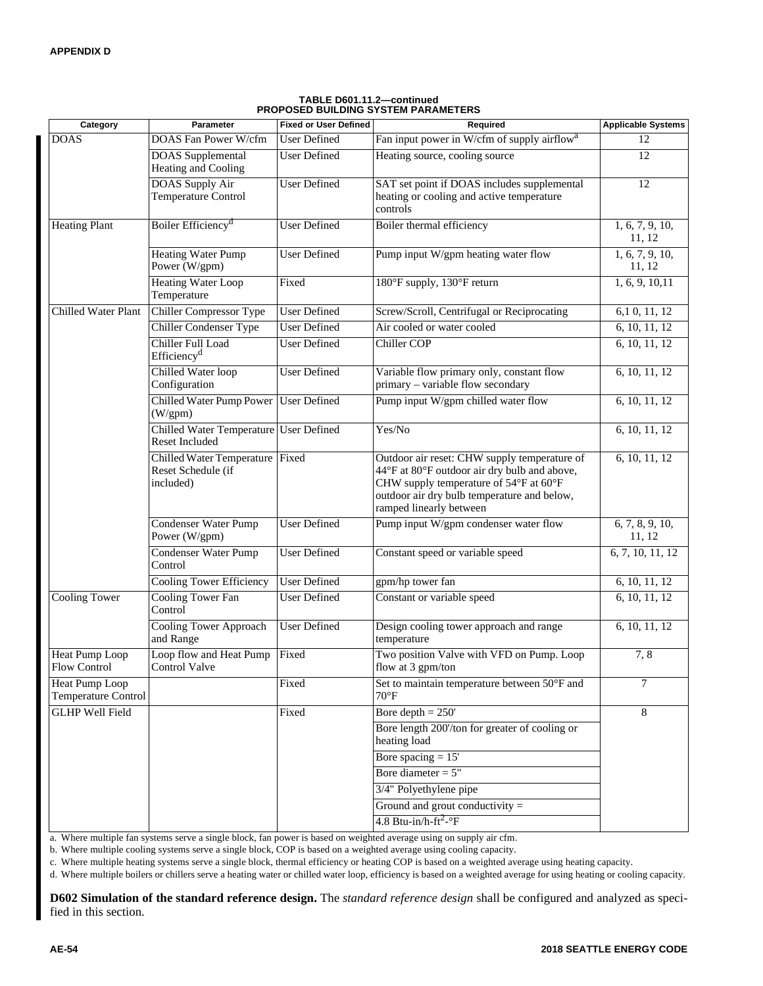| Category                                     | Parameter                                                          | <b>Fixed or User Defined</b> | Required                                                                                                                                                                                                         | <b>Applicable Systems</b> |  |
|----------------------------------------------|--------------------------------------------------------------------|------------------------------|------------------------------------------------------------------------------------------------------------------------------------------------------------------------------------------------------------------|---------------------------|--|
| <b>DOAS</b>                                  | DOAS Fan Power W/cfm                                               | <b>User Defined</b>          | Fan input power in W/cfm of supply airflow <sup>a</sup>                                                                                                                                                          | 12                        |  |
|                                              | <b>DOAS</b> Supplemental<br>Heating and Cooling                    | <b>User Defined</b>          | Heating source, cooling source                                                                                                                                                                                   |                           |  |
|                                              | DOAS Supply Air<br>Temperature Control                             | <b>User Defined</b>          | SAT set point if DOAS includes supplemental<br>heating or cooling and active temperature<br>controls                                                                                                             | 12                        |  |
| <b>Heating Plant</b>                         | Boiler Efficiency <sup>d</sup>                                     | <b>User Defined</b>          | Boiler thermal efficiency                                                                                                                                                                                        | 1, 6, 7, 9, 10,<br>11, 12 |  |
|                                              | <b>Heating Water Pump</b><br>Power (W/gpm)                         | <b>User Defined</b>          | Pump input W/gpm heating water flow                                                                                                                                                                              | 1, 6, 7, 9, 10,<br>11, 12 |  |
|                                              | <b>Heating Water Loop</b><br>Temperature                           | Fixed                        | 180°F supply, 130°F return                                                                                                                                                                                       | 1, 6, 9, 10, 11           |  |
| Chilled Water Plant                          | <b>Chiller Compressor Type</b>                                     | <b>User Defined</b>          | Screw/Scroll, Centrifugal or Reciprocating                                                                                                                                                                       | 6,10, 11, 12              |  |
|                                              | <b>Chiller Condenser Type</b>                                      | <b>User Defined</b>          | Air cooled or water cooled                                                                                                                                                                                       | 6, 10, 11, 12             |  |
|                                              | <b>Chiller Full Load</b><br>Efficiency <sup>d</sup>                | <b>User Defined</b>          | <b>Chiller COP</b>                                                                                                                                                                                               | 6, 10, 11, 12             |  |
|                                              | Chilled Water loop<br>Configuration                                | <b>User Defined</b>          | Variable flow primary only, constant flow<br>primary – variable flow secondary                                                                                                                                   | 6, 10, 11, 12             |  |
|                                              | Chilled Water Pump Power<br>$(W/\text{gpm})$                       | <b>User Defined</b>          | Pump input W/gpm chilled water flow                                                                                                                                                                              | 6, 10, 11, 12             |  |
|                                              | Chilled Water Temperature User Defined<br>Reset Included           |                              | Yes/No                                                                                                                                                                                                           | 6, 10, 11, 12             |  |
|                                              | Chilled Water Temperature Fixed<br>Reset Schedule (if<br>included) |                              | Outdoor air reset: CHW supply temperature of<br>44°F at 80°F outdoor air dry bulb and above,<br>CHW supply temperature of 54°F at 60°F<br>outdoor air dry bulb temperature and below,<br>ramped linearly between |                           |  |
|                                              | <b>Condenser Water Pump</b><br>Power (W/gpm)                       | <b>User Defined</b>          | Pump input W/gpm condenser water flow                                                                                                                                                                            | 6, 7, 8, 9, 10,<br>11, 12 |  |
|                                              | <b>Condenser Water Pump</b><br>Control                             | <b>User Defined</b>          | Constant speed or variable speed                                                                                                                                                                                 | 6, 7, 10, 11, 12          |  |
|                                              | <b>Cooling Tower Efficiency</b>                                    | <b>User Defined</b>          | gpm/hp tower fan                                                                                                                                                                                                 | 6, 10, 11, 12             |  |
| <b>Cooling Tower</b>                         | <b>Cooling Tower Fan</b><br>Control                                | <b>User Defined</b>          | Constant or variable speed                                                                                                                                                                                       | 6, 10, 11, 12             |  |
|                                              | <b>Cooling Tower Approach</b><br>and Range                         | <b>User Defined</b>          | Design cooling tower approach and range<br>temperature                                                                                                                                                           | 6, 10, 11, 12             |  |
| Heat Pump Loop<br><b>Flow Control</b>        | Loop flow and Heat Pump<br><b>Control Valve</b>                    | Fixed                        | Two position Valve with VFD on Pump. Loop<br>flow at 3 gpm/ton                                                                                                                                                   | 7,8                       |  |
| <b>Heat Pump Loop</b><br>Temperature Control |                                                                    | Fixed                        | Set to maintain temperature between 50°F and<br>$70^{\circ}$ F                                                                                                                                                   | 7                         |  |
| <b>GLHP</b> Well Field                       |                                                                    | Fixed                        | Bore depth $= 250'$                                                                                                                                                                                              | 8                         |  |
|                                              |                                                                    |                              | Bore length 200'/ton for greater of cooling or<br>heating load                                                                                                                                                   |                           |  |
|                                              |                                                                    |                              | Bore spacing $= 15'$                                                                                                                                                                                             |                           |  |
|                                              |                                                                    |                              | Bore diameter $= 5"$                                                                                                                                                                                             |                           |  |
|                                              |                                                                    |                              | 3/4" Polyethylene pipe                                                                                                                                                                                           |                           |  |
|                                              |                                                                    |                              | Ground and grout conductivity $=$                                                                                                                                                                                |                           |  |
|                                              |                                                                    |                              | $4.8$ Btu-in/h-ft <sup>2</sup> - $\mathrm{P}$ F                                                                                                                                                                  |                           |  |

### **TABLE D601.11.2—continued PROPOSED BUILDING SYSTEM PARAMETERS**

a. Where multiple fan systems serve a single block, fan power is based on weighted average using on supply air cfm.

b. Where multiple cooling systems serve a single block, COP is based on a weighted average using cooling capacity.

c. Where multiple heating systems serve a single block, thermal efficiency or heating COP is based on a weighted average using heating capacity.

d. Where multiple boilers or chillers serve a heating water or chilled water loop, efficiency is based on a weighted average for using heating or cooling capacity.

**D602 Simulation of the standard reference design.** The *standard reference design* shall be configured and analyzed as specified in this section.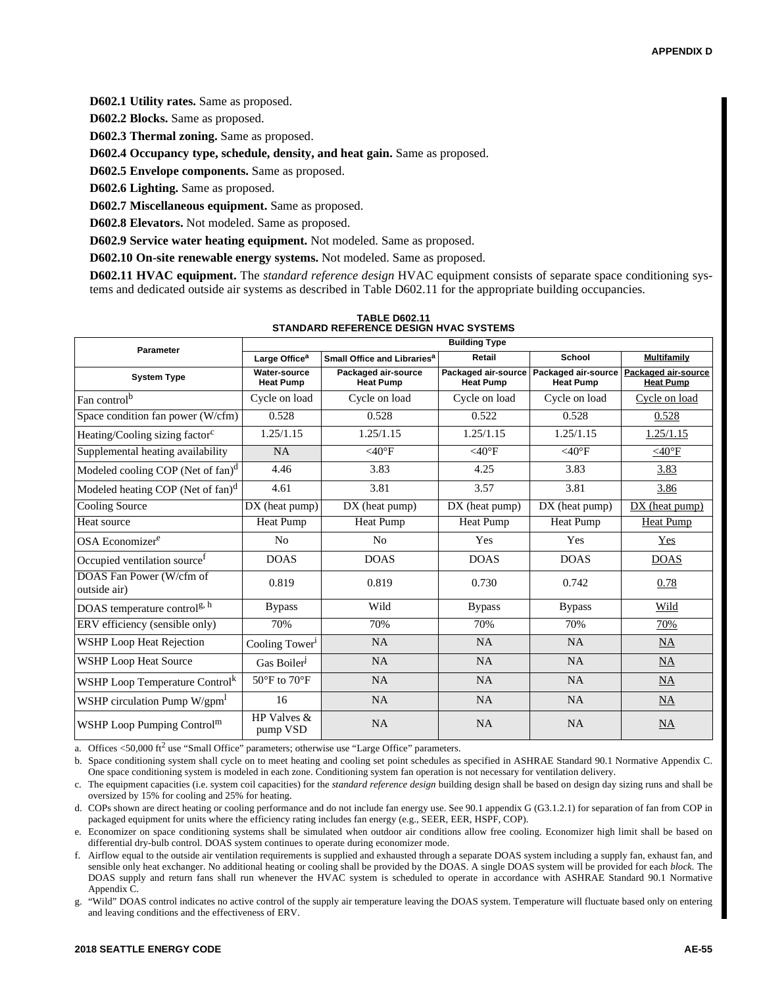**D602.1 Utility rates.** Same as proposed.

**D602.2 Blocks.** Same as proposed.

**D602.3 Thermal zoning.** Same as proposed.

**D602.4 Occupancy type, schedule, density, and heat gain.** Same as proposed.

**D602.5 Envelope components.** Same as proposed.

**D602.6 Lighting.** Same as proposed.

**D602.7 Miscellaneous equipment.** Same as proposed.

**D602.8 Elevators.** Not modeled. Same as proposed.

**D602.9 Service water heating equipment.** Not modeled. Same as proposed.

**D602.10 On-site renewable energy systems.** Not modeled. Same as proposed.

**D602.11 HVAC equipment.** The *standard reference design* HVAC equipment consists of separate space conditioning systems and dedicated outside air systems as described in Table D602.11 for the appropriate building occupancies.

| Parameter                                     | <b>Building Type</b>                                                 |                                         |                                         |                                         |                                         |  |  |
|-----------------------------------------------|----------------------------------------------------------------------|-----------------------------------------|-----------------------------------------|-----------------------------------------|-----------------------------------------|--|--|
|                                               | Small Office and Libraries <sup>a</sup><br>Large Office <sup>a</sup> |                                         | Retail                                  | School                                  | <b>Multifamily</b>                      |  |  |
| <b>System Type</b>                            | <b>Water-source</b><br><b>Heat Pump</b>                              | Packaged air-source<br><b>Heat Pump</b> | Packaged air-source<br><b>Heat Pump</b> | Packaged air-source<br><b>Heat Pump</b> | Packaged air-source<br><b>Heat Pump</b> |  |  |
| Fan control <sup>b</sup>                      | Cycle on load                                                        | Cycle on load                           | Cycle on load                           | Cycle on load                           | Cycle on load                           |  |  |
| Space condition fan power (W/cfm)             | 0.528                                                                | 0.528                                   | 0.522                                   | 0.528                                   | 0.528                                   |  |  |
| Heating/Cooling sizing factor <sup>c</sup>    | 1.25/1.15                                                            | 1.25/1.15                               | 1.25/1.15                               | 1.25/1.15                               | 1.25/1.15                               |  |  |
| Supplemental heating availability             | <b>NA</b>                                                            | $<$ 40°F                                | $<$ 40°F                                | $<$ 40°F                                | $<$ 40°F                                |  |  |
| Modeled cooling COP (Net of fan) <sup>d</sup> | 4.46                                                                 | 3.83                                    | 4.25                                    | 3.83                                    | 3.83                                    |  |  |
| Modeled heating COP (Net of fan) <sup>d</sup> | 4.61                                                                 | 3.81                                    | 3.57                                    | 3.81                                    | 3.86                                    |  |  |
| Cooling Source                                | DX (heat pump)                                                       | $DX$ (heat pump)                        | $DX$ (heat pump)                        | DX (heat pump)                          | DX (heat pump)                          |  |  |
| Heat source                                   | Heat Pump                                                            | Heat Pump                               | Heat Pump                               | Heat Pump                               | Heat Pump                               |  |  |
| OSA Economizer <sup>e</sup>                   | N <sub>o</sub>                                                       | No                                      | Yes                                     | Yes                                     | Yes                                     |  |  |
| Occupied ventilation source <sup>f</sup>      | <b>DOAS</b>                                                          | <b>DOAS</b>                             | <b>DOAS</b>                             | <b>DOAS</b>                             | <b>DOAS</b>                             |  |  |
| DOAS Fan Power (W/cfm of<br>outside air)      | 0.819                                                                | 0.819                                   | 0.730                                   | 0.742                                   | 0.78                                    |  |  |
| DOAS temperature control <sup>g, h</sup>      | <b>Bypass</b>                                                        | Wild                                    | <b>Bypass</b>                           | <b>Bypass</b>                           | Wild                                    |  |  |
| ERV efficiency (sensible only)                | 70%                                                                  | 70%                                     | 70%                                     | 70%                                     | 70%                                     |  |  |
| <b>WSHP Loop Heat Rejection</b>               | Cooling Tower <sup>1</sup>                                           | <b>NA</b>                               | <b>NA</b>                               | NA                                      | <b>NA</b>                               |  |  |
| <b>WSHP Loop Heat Source</b>                  | Gas Boiler <sup>J</sup>                                              | NA                                      | <b>NA</b>                               | <b>NA</b>                               | <b>NA</b>                               |  |  |
| WSHP Loop Temperature Control <sup>k</sup>    | $50^{\circ}$ F to $70^{\circ}$ F                                     | <b>NA</b>                               | <b>NA</b>                               | <b>NA</b>                               | NA                                      |  |  |
| WSHP circulation Pump W/gpm                   | 16                                                                   | <b>NA</b>                               | <b>NA</b>                               | <b>NA</b>                               | NA                                      |  |  |
| WSHP Loop Pumping Control <sup>m</sup>        | HP Valves $&$<br>pump VSD                                            | <b>NA</b>                               | <b>NA</b>                               | <b>NA</b>                               | <b>NA</b>                               |  |  |

**TABLE D602.11 STANDARD REFERENCE DESIGN HVAC SYSTEMS**

a. Offices  $\langle 50,000 \text{ ft}^2 \rangle$  use "Small Office" parameters; otherwise use "Large Office" parameters.

b. Space conditioning system shall cycle on to meet heating and cooling set point schedules as specified in ASHRAE Standard 90.1 Normative Appendix C. One space conditioning system is modeled in each zone. Conditioning system fan operation is not necessary for ventilation delivery.

c. The equipment capacities (i.e. system coil capacities) for the *standard reference design* building design shall be based on design day sizing runs and shall be oversized by 15% for cooling and 25% for heating.

d. COPs shown are direct heating or cooling performance and do not include fan energy use. See 90.1 appendix G (G3.1.2.1) for separation of fan from COP in packaged equipment for units where the efficiency rating includes fan energy (e.g., SEER, EER, HSPF, COP).

e. Economizer on space conditioning systems shall be simulated when outdoor air conditions allow free cooling. Economizer high limit shall be based on differential dry-bulb control. DOAS system continues to operate during economizer mode.

f. Airflow equal to the outside air ventilation requirements is supplied and exhausted through a separate DOAS system including a supply fan, exhaust fan, and sensible only heat exchanger. No additional heating or cooling shall be provided by the DOAS. A single DOAS system will be provided for each *block.* The DOAS supply and return fans shall run whenever the HVAC system is scheduled to operate in accordance with ASHRAE Standard 90.1 Normative Appendix C.

"Wild" DOAS control indicates no active control of the supply air temperature leaving the DOAS system. Temperature will fluctuate based only on entering and leaving conditions and the effectiveness of ERV.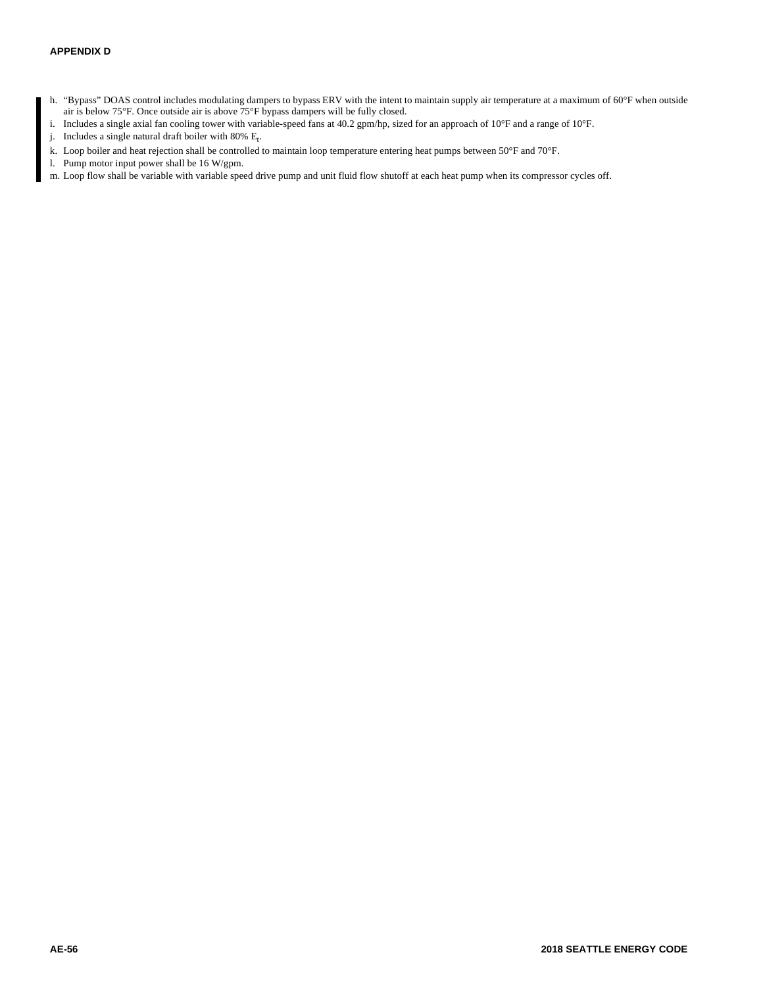- h. "Bypass" DOAS control includes modulating dampers to bypass ERV with the intent to maintain supply air temperature at a maximum of 60°F when outside air is below 75°F. Once outside air is above 75°F bypass dampers will be fully closed.
- i. Includes a single axial fan cooling tower with variable-speed fans at 40.2 gpm/hp, sized for an approach of 10°F and a range of 10°F.
- j. Includes a single natural draft boiler with  $80\%$  E<sub>t</sub>.
- k. Loop boiler and heat rejection shall be controlled to maintain loop temperature entering heat pumps between 50°F and 70°F.
- l. Pump motor input power shall be 16 W/gpm.
- m. Loop flow shall be variable with variable speed drive pump and unit fluid flow shutoff at each heat pump when its compressor cycles off.